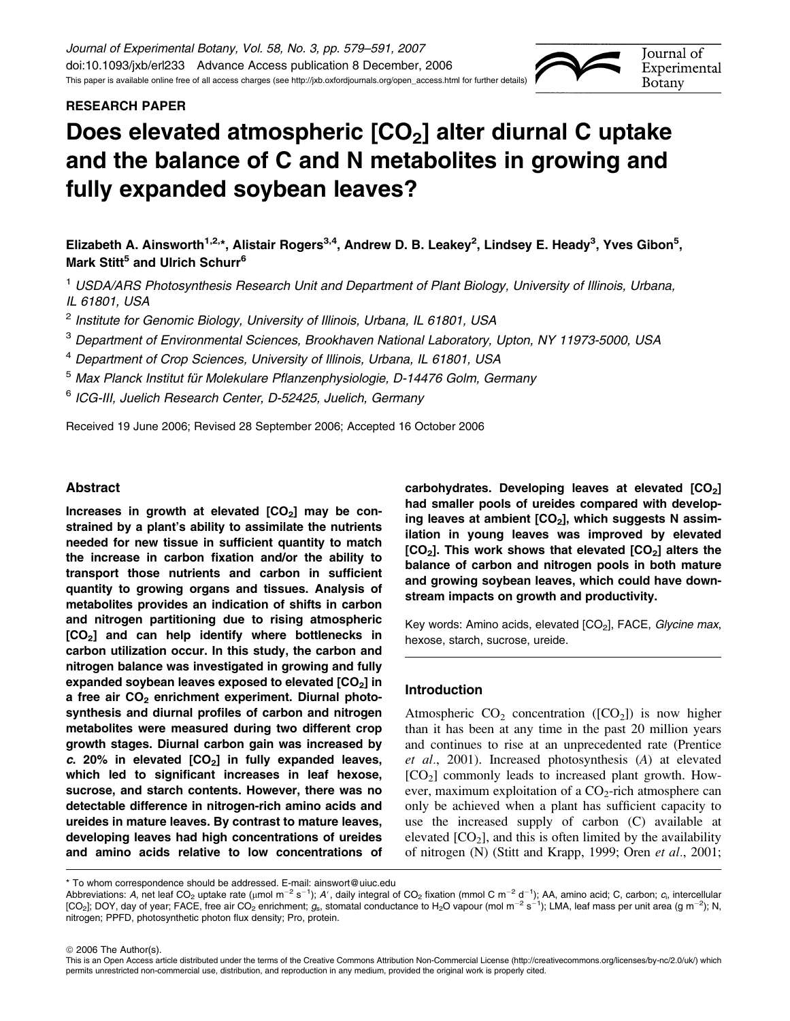# RESEARCH PAPER



# Does elevated atmospheric  $[CO<sub>2</sub>]$  alter diurnal C uptake and the balance of C and N metabolites in growing and fully expanded soybean leaves?

Elizabeth A. Ainsworth<sup>1,2,</sup>\*, Alistair Rogers<sup>3,4</sup>, Andrew D. B. Leakey<sup>2</sup>, Lindsey E. Heady<sup>3</sup>, Yves Gibon<sup>5</sup>, Mark Stitt<sup>5</sup> and Ulrich Schurr<sup>6</sup>

<sup>1</sup> USDA/ARS Photosynthesis Research Unit and Department of Plant Biology, University of Illinois, Urbana, IL 61801, USA

<sup>2</sup> Institute for Genomic Biology, University of Illinois, Urbana, IL 61801, USA

<sup>3</sup> Department of Environmental Sciences, Brookhaven National Laboratory, Upton, NY 11973-5000, USA

<sup>4</sup> Department of Crop Sciences, University of Illinois, Urbana, IL 61801, USA

<sup>5</sup> Max Planck Institut für Molekulare Pflanzenphysiologie, D-14476 Golm, Germany

<sup>6</sup> ICG-III, Juelich Research Center, D-52425, Juelich, Germany

Received 19 June 2006; Revised 28 September 2006; Accepted 16 October 2006

# Abstract

Increases in growth at elevated  $[CO<sub>2</sub>]$  may be constrained by a plant's ability to assimilate the nutrients needed for new tissue in sufficient quantity to match the increase in carbon fixation and/or the ability to transport those nutrients and carbon in sufficient quantity to growing organs and tissues. Analysis of metabolites provides an indication of shifts in carbon and nitrogen partitioning due to rising atmospheric [CO<sub>2</sub>] and can help identify where bottlenecks in carbon utilization occur. In this study, the carbon and nitrogen balance was investigated in growing and fully expanded soybean leaves exposed to elevated  $[CO<sub>2</sub>]$  in a free air  $CO<sub>2</sub>$  enrichment experiment. Diurnal photosynthesis and diurnal profiles of carbon and nitrogen metabolites were measured during two different crop growth stages. Diurnal carbon gain was increased by c. 20% in elevated  $[CO<sub>2</sub>]$  in fully expanded leaves, which led to significant increases in leaf hexose, sucrose, and starch contents. However, there was no detectable difference in nitrogen-rich amino acids and ureides in mature leaves. By contrast to mature leaves, developing leaves had high concentrations of ureides and amino acids relative to low concentrations of carbohydrates. Developing leaves at elevated  $[CO<sub>2</sub>]$ had smaller pools of ureides compared with developing leaves at ambient  $[CO<sub>2</sub>]$ , which suggests N assimilation in young leaves was improved by elevated  $[CO<sub>2</sub>]$ . This work shows that elevated  $[CO<sub>2</sub>]$  alters the balance of carbon and nitrogen pools in both mature and growing soybean leaves, which could have downstream impacts on growth and productivity.

Key words: Amino acids, elevated [CO<sub>2</sub>], FACE, Glycine max, hexose, starch, sucrose, ureide.

# Introduction

Atmospheric  $CO<sub>2</sub>$  concentration ([CO<sub>2</sub>]) is now higher than it has been at any time in the past 20 million years and continues to rise at an unprecedented rate (Prentice et al., 2001). Increased photosynthesis (A) at elevated  $[CO<sub>2</sub>]$  commonly leads to increased plant growth. However, maximum exploitation of a  $CO<sub>2</sub>$ -rich atmosphere can only be achieved when a plant has sufficient capacity to use the increased supply of carbon (C) available at elevated  $[CO<sub>2</sub>]$ , and this is often limited by the availability of nitrogen (N) (Stitt and Krapp, 1999; Oren et al., 2001;



Abbreviations: A, net leaf CO<sub>2</sub> uptake rate (µmol m<sup>-2</sup> s<sup>-1</sup>); A', daily integral of CO<sub>2</sub> fixation (mmol C m<sup>-2</sup> d<sup>-1</sup>); AA, amino acid; C, carbon; c<sub>i</sub>, intercellular [CO<sub>2</sub>]; DOY, day of year; FACE, free air CO<sub>2</sub> enrichment;  $g_{\rm s}$ , stomatal conductance to H<sub>2</sub>O vapour (mol m<sup>-2</sup> s<sup>-1</sup>); LMA, leaf mass per unit area (g m<sup>-2</sup>); N, nitrogen; PPFD, photosynthetic photon flux density; Pro, protein.

© 2006 The Author(s).

This is an Open Access article distributed under the terms of the Creative Commons Attribution Non-Commercial License [\(http://creativecommons.org/licenses/by-nc/2.0/uk/\)](http://creativecommons.org/licenses/by-nc/2.0/uk/) which permits unrestricted non-commercial use, distribution, and reproduction in any medium, provided the original work is properly cited.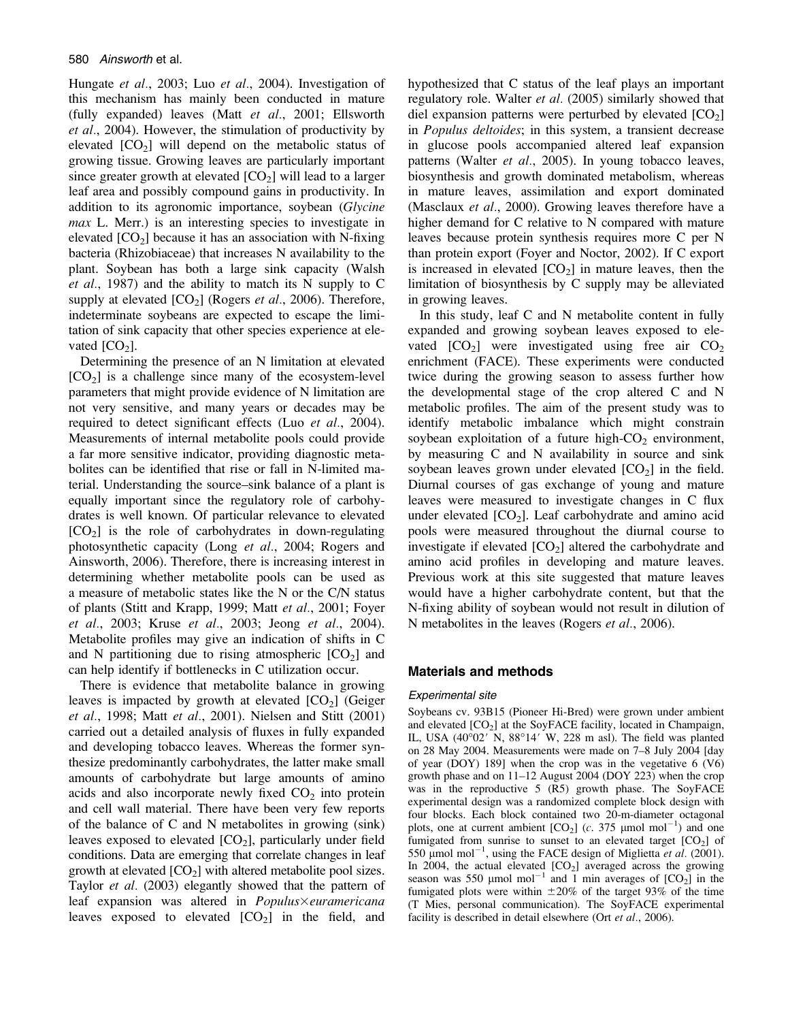Hungate et al., 2003; Luo et al., 2004). Investigation of this mechanism has mainly been conducted in mature (fully expanded) leaves (Matt et al., 2001; Ellsworth et al., 2004). However, the stimulation of productivity by elevated  $[CO<sub>2</sub>]$  will depend on the metabolic status of growing tissue. Growing leaves are particularly important since greater growth at elevated  $[CO<sub>2</sub>]$  will lead to a larger leaf area and possibly compound gains in productivity. In addition to its agronomic importance, soybean (Glycine max L. Merr.) is an interesting species to investigate in elevated  $[CO<sub>2</sub>]$  because it has an association with N-fixing bacteria (Rhizobiaceae) that increases N availability to the plant. Soybean has both a large sink capacity (Walsh et al., 1987) and the ability to match its N supply to C supply at elevated  $[CO_2]$  (Rogers *et al.*, 2006). Therefore, indeterminate soybeans are expected to escape the limitation of sink capacity that other species experience at elevated  $[CO<sub>2</sub>]$ .

Determining the presence of an N limitation at elevated  $[CO<sub>2</sub>]$  is a challenge since many of the ecosystem-level parameters that might provide evidence of N limitation are not very sensitive, and many years or decades may be required to detect significant effects (Luo et al., 2004). Measurements of internal metabolite pools could provide a far more sensitive indicator, providing diagnostic metabolites can be identified that rise or fall in N-limited material. Understanding the source–sink balance of a plant is equally important since the regulatory role of carbohydrates is well known. Of particular relevance to elevated  $[CO<sub>2</sub>]$  is the role of carbohydrates in down-regulating photosynthetic capacity (Long et al., 2004; Rogers and Ainsworth, 2006). Therefore, there is increasing interest in determining whether metabolite pools can be used as a measure of metabolic states like the N or the C/N status of plants (Stitt and Krapp, 1999; Matt et al., 2001; Foyer et al., 2003; Kruse et al., 2003; Jeong et al., 2004). Metabolite profiles may give an indication of shifts in C and N partitioning due to rising atmospheric  $[CO<sub>2</sub>]$  and can help identify if bottlenecks in C utilization occur.

There is evidence that metabolite balance in growing leaves is impacted by growth at elevated  $[CO<sub>2</sub>]$  (Geiger et al., 1998; Matt et al., 2001). Nielsen and Stitt (2001) carried out a detailed analysis of fluxes in fully expanded and developing tobacco leaves. Whereas the former synthesize predominantly carbohydrates, the latter make small amounts of carbohydrate but large amounts of amino acids and also incorporate newly fixed  $CO<sub>2</sub>$  into protein and cell wall material. There have been very few reports of the balance of C and N metabolites in growing (sink) leaves exposed to elevated  $[CO_2]$ , particularly under field conditions. Data are emerging that correlate changes in leaf growth at elevated  $[CO_2]$  with altered metabolite pool sizes. Taylor et al. (2003) elegantly showed that the pattern of leaf expansion was altered in  $Populus \times euramericana$ leaves exposed to elevated  $[CO<sub>2</sub>]$  in the field, and hypothesized that C status of the leaf plays an important regulatory role. Walter et al. (2005) similarly showed that diel expansion patterns were perturbed by elevated  $[CO<sub>2</sub>]$ in Populus deltoides; in this system, a transient decrease in glucose pools accompanied altered leaf expansion patterns (Walter et al., 2005). In young tobacco leaves, biosynthesis and growth dominated metabolism, whereas in mature leaves, assimilation and export dominated (Masclaux *et al.*, 2000). Growing leaves therefore have a higher demand for C relative to N compared with mature leaves because protein synthesis requires more C per N than protein export (Foyer and Noctor, 2002). If C export is increased in elevated  $[CO<sub>2</sub>]$  in mature leaves, then the limitation of biosynthesis by C supply may be alleviated in growing leaves.

In this study, leaf C and N metabolite content in fully expanded and growing soybean leaves exposed to elevated  $[CO_2]$  were investigated using free air  $CO_2$ enrichment (FACE). These experiments were conducted twice during the growing season to assess further how the developmental stage of the crop altered C and N metabolic profiles. The aim of the present study was to identify metabolic imbalance which might constrain soybean exploitation of a future high- $CO<sub>2</sub>$  environment, by measuring C and N availability in source and sink soybean leaves grown under elevated  $[CO<sub>2</sub>]$  in the field. Diurnal courses of gas exchange of young and mature leaves were measured to investigate changes in C flux under elevated  $[CO_2]$ . Leaf carbohydrate and amino acid pools were measured throughout the diurnal course to investigate if elevated  $[CO<sub>2</sub>]$  altered the carbohydrate and amino acid profiles in developing and mature leaves. Previous work at this site suggested that mature leaves would have a higher carbohydrate content, but that the N-fixing ability of soybean would not result in dilution of N metabolites in the leaves (Rogers et al., 2006).

# Materials and methods

## Experimental site

Soybeans cv. 93B15 (Pioneer Hi-Bred) were grown under ambient and elevated  $[CO<sub>2</sub>]$  at the SoyFACE facility, located in Champaign, IL, USA  $(40°02'$  N,  $88°14'$  W, 228 m asl). The field was planted on 28 May 2004. Measurements were made on 7–8 July 2004 [day of year (DOY) 189] when the crop was in the vegetative 6 (V6) growth phase and on 11–12 August 2004 (DOY 223) when the crop was in the reproductive 5 (R5) growth phase. The SoyFACE experimental design was a randomized complete block design with four blocks. Each block contained two 20-m-diameter octagonal plots, one at current ambient  $[CO_2]$  (c. 375 µmol mol<sup>-1</sup>) and one fumigated from sunrise to sunset to an elevated target  $[CO<sub>2</sub>]$  of 550  $\mu$ mol mol<sup>-1</sup>, using the FACE design of Miglietta et al. (2001). In 2004, the actual elevated  $[CO<sub>2</sub>]$  averaged across the growing season was 550  $\mu$ mol mol<sup>-1</sup> and 1 min averages of  $[CO<sub>2</sub>]$  in the fumigated plots were within  $\pm 20\%$  of the target 93% of the time (T Mies, personal communication). The SoyFACE experimental facility is described in detail elsewhere (Ort *et al.*, 2006).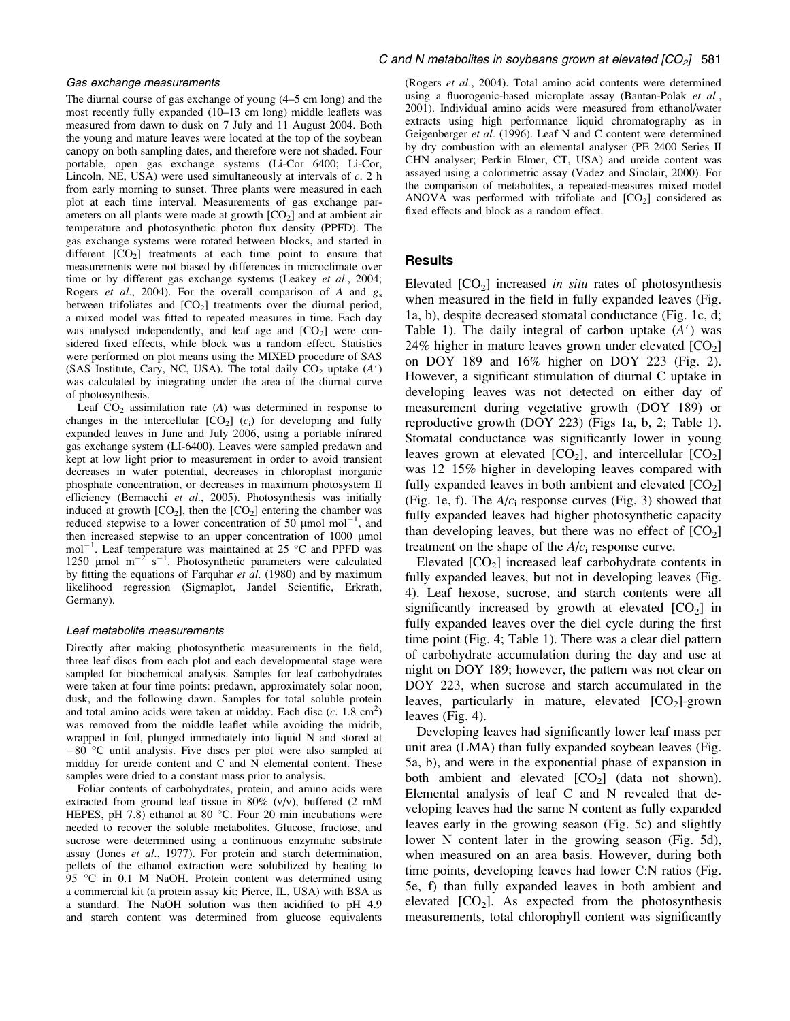#### Gas exchange measurements

The diurnal course of gas exchange of young (4–5 cm long) and the most recently fully expanded (10–13 cm long) middle leaflets was measured from dawn to dusk on 7 July and 11 August 2004. Both the young and mature leaves were located at the top of the soybean canopy on both sampling dates, and therefore were not shaded. Four portable, open gas exchange systems (Li-Cor 6400; Li-Cor, Lincoln, NE, USA) were used simultaneously at intervals of  $c$ . 2 h from early morning to sunset. Three plants were measured in each plot at each time interval. Measurements of gas exchange parameters on all plants were made at growth  $[CO<sub>2</sub>]$  and at ambient air temperature and photosynthetic photon flux density (PPFD). The gas exchange systems were rotated between blocks, and started in different  $[CO<sub>2</sub>]$  treatments at each time point to ensure that measurements were not biased by differences in microclimate over time or by different gas exchange systems (Leakey et al., 2004; Rogers *et al.*, 2004). For the overall comparison of A and  $g_s$ between trifoliates and  $[CO<sub>2</sub>]$  treatments over the diurnal period, a mixed model was fitted to repeated measures in time. Each day was analysed independently, and leaf age and  $[CO<sub>2</sub>]$  were considered fixed effects, while block was a random effect. Statistics were performed on plot means using the MIXED procedure of SAS (SAS Institute, Cary, NC, USA). The total daily  $CO<sub>2</sub>$  uptake  $(A')$ was calculated by integrating under the area of the diurnal curve of photosynthesis.

Leaf  $CO<sub>2</sub>$  assimilation rate (A) was determined in response to changes in the intercellular  $[CO_2]$  (c<sub>i</sub>) for developing and fully expanded leaves in June and July 2006, using a portable infrared gas exchange system (LI-6400). Leaves were sampled predawn and kept at low light prior to measurement in order to avoid transient decreases in water potential, decreases in chloroplast inorganic phosphate concentration, or decreases in maximum photosystem II efficiency (Bernacchi et al., 2005). Photosynthesis was initially induced at growth  $[CO_2]$ , then the  $[CO_2]$  entering the chamber was reduced stepwise to a lower concentration of 50 µmol mol<sup>-1</sup>, and then increased stepwise to an upper concentration of  $1000 \mu$ mol  $mol^{-1}$ . Leaf temperature was maintained at 25 °C and PPFD was 1250 µmol  $m^{-2}$  s<sup>-1</sup>. Photosynthetic parameters were calculated by fitting the equations of Farquhar et al. (1980) and by maximum likelihood regression (Sigmaplot, Jandel Scientific, Erkrath, Germany).

#### Leaf metabolite measurements

Directly after making photosynthetic measurements in the field, three leaf discs from each plot and each developmental stage were sampled for biochemical analysis. Samples for leaf carbohydrates were taken at four time points: predawn, approximately solar noon, dusk, and the following dawn. Samples for total soluble protein and total amino acids were taken at midday. Each disc  $(c. 1.8 \text{ cm}^2)$ was removed from the middle leaflet while avoiding the midrib, wrapped in foil, plunged immediately into liquid N and stored at  $-80$  °C until analysis. Five discs per plot were also sampled at midday for ureide content and C and N elemental content. These samples were dried to a constant mass prior to analysis.

Foliar contents of carbohydrates, protein, and amino acids were extracted from ground leaf tissue in 80% (v/v), buffered (2 mM HEPES, pH 7.8) ethanol at 80  $^{\circ}$ C. Four 20 min incubations were needed to recover the soluble metabolites. Glucose, fructose, and sucrose were determined using a continuous enzymatic substrate assay (Jones et al., 1977). For protein and starch determination, pellets of the ethanol extraction were solubilized by heating to 95 °C in 0.1 M NaOH. Protein content was determined using a commercial kit (a protein assay kit; Pierce, IL, USA) with BSA as a standard. The NaOH solution was then acidified to pH 4.9 and starch content was determined from glucose equivalents

(Rogers et al., 2004). Total amino acid contents were determined using a fluorogenic-based microplate assay (Bantan-Polak et al., 2001). Individual amino acids were measured from ethanol/water extracts using high performance liquid chromatography as in Geigenberger et al. (1996). Leaf N and C content were determined by dry combustion with an elemental analyser (PE 2400 Series II CHN analyser; Perkin Elmer, CT, USA) and ureide content was assayed using a colorimetric assay (Vadez and Sinclair, 2000). For the comparison of metabolites, a repeated-measures mixed model ANOVA was performed with trifoliate and  $[CO<sub>2</sub>]$  considered as fixed effects and block as a random effect.

#### **Results**

Elevated  $[CO<sub>2</sub>]$  increased *in situ* rates of photosynthesis when measured in the field in fully expanded leaves (Fig. 1a, b), despite decreased stomatal conductance (Fig. 1c, d; Table 1). The daily integral of carbon uptake  $(A')$  was 24% higher in mature leaves grown under elevated  $[CO<sub>2</sub>]$ on DOY 189 and 16% higher on DOY 223 (Fig. 2). However, a significant stimulation of diurnal C uptake in developing leaves was not detected on either day of measurement during vegetative growth (DOY 189) or reproductive growth (DOY 223) (Figs 1a, b, 2; Table 1). Stomatal conductance was significantly lower in young leaves grown at elevated  $[CO_2]$ , and intercellular  $[CO_2]$ was 12–15% higher in developing leaves compared with fully expanded leaves in both ambient and elevated  $[CO<sub>2</sub>]$ (Fig. 1e, f). The  $A/c<sub>i</sub>$  response curves (Fig. 3) showed that fully expanded leaves had higher photosynthetic capacity than developing leaves, but there was no effect of  $[CO<sub>2</sub>]$ treatment on the shape of the  $A/c<sub>i</sub>$  response curve.

Elevated  $[CO<sub>2</sub>]$  increased leaf carbohydrate contents in fully expanded leaves, but not in developing leaves (Fig. 4). Leaf hexose, sucrose, and starch contents were all significantly increased by growth at elevated  $[CO<sub>2</sub>]$  in fully expanded leaves over the diel cycle during the first time point (Fig. 4; Table 1). There was a clear diel pattern of carbohydrate accumulation during the day and use at night on DOY 189; however, the pattern was not clear on DOY 223, when sucrose and starch accumulated in the leaves, particularly in mature, elevated  $[CO<sub>2</sub>]$ -grown leaves (Fig. 4).

Developing leaves had significantly lower leaf mass per unit area (LMA) than fully expanded soybean leaves (Fig. 5a, b), and were in the exponential phase of expansion in both ambient and elevated  $[CO<sub>2</sub>]$  (data not shown). Elemental analysis of leaf C and N revealed that developing leaves had the same N content as fully expanded leaves early in the growing season (Fig. 5c) and slightly lower N content later in the growing season (Fig. 5d), when measured on an area basis. However, during both time points, developing leaves had lower C:N ratios (Fig. 5e, f) than fully expanded leaves in both ambient and elevated  $[CO<sub>2</sub>]$ . As expected from the photosynthesis measurements, total chlorophyll content was significantly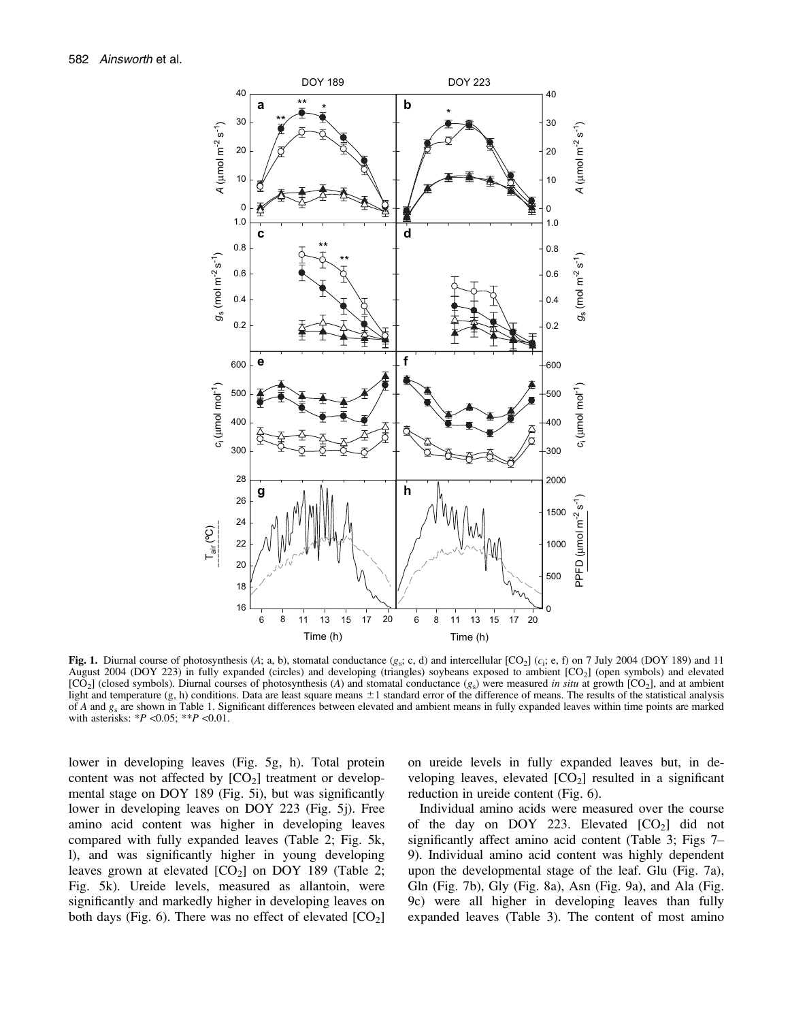

Fig. 1. Diurnal course of photosynthesis (A; a, b), stomatal conductance  $(g_S; c, d)$  and intercellular [CO<sub>2</sub>] (c<sub>i</sub>; e, f) on 7 July 2004 (DOY 189) and 11 August 2004 (DOY 223) in fully expanded (circles) and developing (triangles) soybeans exposed to ambient [CO<sub>2</sub>] (open symbols) and elevated  $[CO<sub>2</sub>]$  (closed symbols). Diurnal courses of photosynthesis (A) and stomatal conductance  $(g<sub>s</sub>)$  were measured in situ at growth  $[CO<sub>2</sub>]$ , and at ambient light and temperature  $(g, h)$  conditions. Data are least square means  $\pm 1$  standard error of the difference of means. The results of the statistical analysis of A and  $g_s$  are shown in Table 1. Significant differences between elevated and ambient means in fully expanded leaves within time points are marked with asterisks:  $*P < 0.05$ ;  $*P < 0.01$ .

lower in developing leaves (Fig. 5g, h). Total protein content was not affected by  $[CO<sub>2</sub>]$  treatment or developmental stage on DOY 189 (Fig. 5i), but was significantly lower in developing leaves on DOY 223 (Fig. 5j). Free amino acid content was higher in developing leaves compared with fully expanded leaves (Table 2; Fig. 5k, l), and was significantly higher in young developing leaves grown at elevated  $[CO_2]$  on DOY 189 (Table 2; Fig. 5k). Ureide levels, measured as allantoin, were significantly and markedly higher in developing leaves on both days (Fig. 6). There was no effect of elevated  $[CO<sub>2</sub>]$  on ureide levels in fully expanded leaves but, in developing leaves, elevated  $[CO<sub>2</sub>]$  resulted in a significant reduction in ureide content (Fig. 6).

Individual amino acids were measured over the course of the day on DOY 223. Elevated  $[CO<sub>2</sub>]$  did not significantly affect amino acid content (Table 3; Figs 7– 9). Individual amino acid content was highly dependent upon the developmental stage of the leaf. Glu (Fig. 7a), Gln (Fig. 7b), Gly (Fig. 8a), Asn (Fig. 9a), and Ala (Fig. 9c) were all higher in developing leaves than fully expanded leaves (Table 3). The content of most amino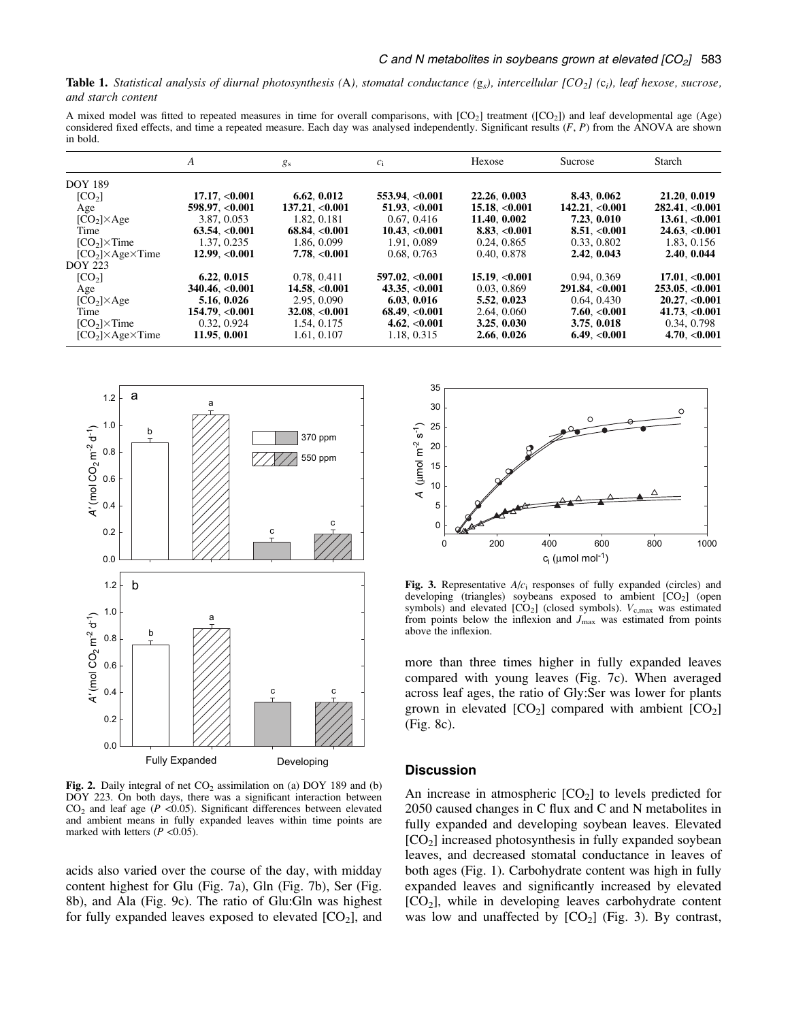**Table 1.** Statistical analysis of diurnal photosynthesis (A), stomatal conductance ( $g_s$ ), intercellular  $[CO_2]$  (c<sub>i</sub>), leaf hexose, sucrose, and starch content

A mixed model was fitted to repeated measures in time for overall comparisons, with  $[CO_2]$  treatment  $([CO_2])$  and leaf developmental age (Age) considered fixed effects, and time a repeated measure. Each day was analysed independently. Significant results  $(F, P)$  from the ANOVA are shown in bold.

|                                | A                        | $g_{\rm s}$        | $c_i$              | Hexose             | Sucrose         | <b>Starch</b>              |
|--------------------------------|--------------------------|--------------------|--------------------|--------------------|-----------------|----------------------------|
| <b>DOY 189</b>                 |                          |                    |                    |                    |                 |                            |
| [CO <sub>2</sub> ]             | 17.17, <sub>0.001</sub>  | 6.62, 0.012        | 553.94. < 0.001    | 22.26, 0.003       | 8.43, 0.062     | 21.20, 0.019               |
| Age                            | 598.97, <0.001           | 137.21, <0.001     | $51.93 \, < 0.001$ | $15.18 \, < 0.001$ | 142.21. < 0.001 | $282.41 \cdot 0.001$       |
| $[CO2] \times Age$             | 3.87, 0.053              | 1.82, 0.181        | 0.67, 0.416        | 11.40, 0.002       | 7.23, 0.010     | 13.61< 0.001               |
| Time                           | $63.54 \cdot 0.001$      | 68.84, <0.001      | 10.43< 0.001       | 8.83, <0.001       | 8.51, <0.001    | 24.63, <0.001              |
| $[CO2] \times Time$            | 1.37, 0.235              | 1.86, 0.099        | 1.91, 0.089        | 0.24, 0.865        | 0.33, 0.802     | 1.83, 0.156                |
| $[CO2] \times Age \times Time$ | 12.99 < 0.001            | 7.78. < 0.001      | 0.68, 0.763        | 0.40, 0.878        | 2.42, 0.043     | 2.40, 0.044                |
| <b>DOY 223</b>                 |                          |                    |                    |                    |                 |                            |
| [CO <sub>2</sub> ]             | 6.22, 0.015              | 0.78, 0.411        | 597.02. < 0.001    | 15.19 < 0.001      | 0.94, 0.369     | 17.01. < 0.001             |
| Age                            | $340.46 \, < 0.001$      | $14.58 \, < 0.001$ | 43.35, $< 0.001$   | 0.03, 0.869        | 291.84 < 0.001  | 253.05. < 0.001            |
| $[CO2] \times Age$             | 5.16, 0.026              | 2.95, 0.090        | 6.03.0.016         | 5.52, 0.023        | 0.64, 0.430     | 20.27 < 0.001              |
| Time                           | 154.79, <sub>0.001</sub> | 32.08, <0.001      | 68.49< 0.001       | 2.64, 0.060        | 7.60, <0.001    | 41.73, <b><i>0.001</i></b> |
| $[CO2] \times Time$            | 0.32, 0.924              | 1.54, 0.175        | 4.62, <0.001       | 3.25, 0.030        | 3.75, 0.018     | 0.34, 0.798                |
| $[CO2] \times Age \times Time$ | 11.95. 0.001             | 1.61, 0.107        | 1.18, 0.315        | 2.66, 0.026        | 6.49< 0.001     | 4.70. < 0.001              |



Fig. 2. Daily integral of net  $CO<sub>2</sub>$  assimilation on (a) DOY 189 and (b) DOY 223. On both days, there was a significant interaction between  $CO<sub>2</sub>$  and leaf age ( $P < 0.05$ ). Significant differences between elevated and ambient means in fully expanded leaves within time points are marked with letters  $(P \le 0.05)$ .

acids also varied over the course of the day, with midday content highest for Glu (Fig. 7a), Gln (Fig. 7b), Ser (Fig. 8b), and Ala (Fig. 9c). The ratio of Glu:Gln was highest for fully expanded leaves exposed to elevated  $[CO<sub>2</sub>]$ , and



Fig. 3. Representative  $A/c<sub>i</sub>$  responses of fully expanded (circles) and developing (triangles) soybeans exposed to ambient [CO<sub>2</sub>] (open symbols) and elevated  $[CO_2]$  (closed symbols).  $V_{c,max}$  was estimated from points below the inflexion and  $J_{\text{max}}$  was estimated from points above the inflexion.

more than three times higher in fully expanded leaves compared with young leaves (Fig. 7c). When averaged across leaf ages, the ratio of Gly:Ser was lower for plants grown in elevated  $[CO_2]$  compared with ambient  $[CO_2]$ (Fig. 8c).

# **Discussion**

An increase in atmospheric  $[CO<sub>2</sub>]$  to levels predicted for 2050 caused changes in C flux and C and N metabolites in fully expanded and developing soybean leaves. Elevated  $[CO<sub>2</sub>]$  increased photosynthesis in fully expanded soybean leaves, and decreased stomatal conductance in leaves of both ages (Fig. 1). Carbohydrate content was high in fully expanded leaves and significantly increased by elevated  $[CO<sub>2</sub>]$ , while in developing leaves carbohydrate content was low and unaffected by  $[CO<sub>2</sub>]$  (Fig. 3). By contrast,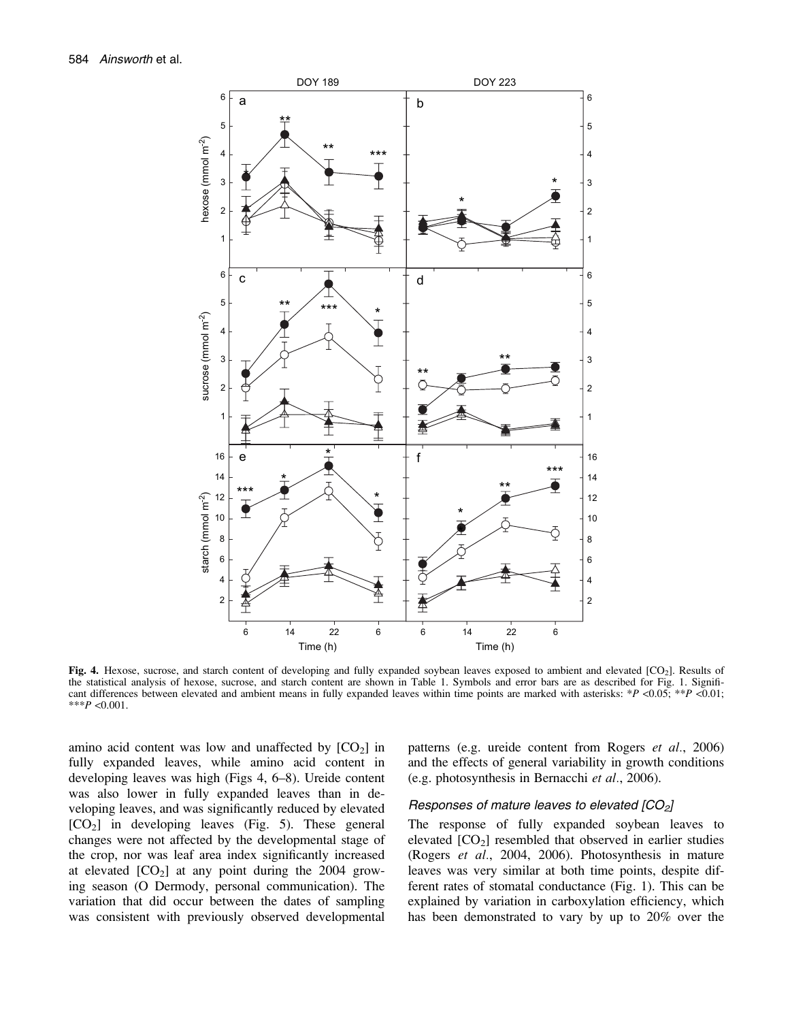

Fig. 4. Hexose, sucrose, and starch content of developing and fully expanded soybean leaves exposed to ambient and elevated  $[CO<sub>2</sub>]$ . Results of the statistical analysis of hexose, sucrose, and starch content are shown in Table 1. Symbols and error bars are as described for Fig. 1. Significant differences between elevated and ambient means in fully expanded leaves within time points are marked with asterisks: \*P <0.05; \*\*P <0.01; \*\*\* $P < 0.001$ .

amino acid content was low and unaffected by  $[CO<sub>2</sub>]$  in fully expanded leaves, while amino acid content in developing leaves was high (Figs 4, 6–8). Ureide content was also lower in fully expanded leaves than in developing leaves, and was significantly reduced by elevated  $[CO<sub>2</sub>]$  in developing leaves (Fig. 5). These general changes were not affected by the developmental stage of the crop, nor was leaf area index significantly increased at elevated  $[CO<sub>2</sub>]$  at any point during the 2004 growing season (O Dermody, personal communication). The variation that did occur between the dates of sampling was consistent with previously observed developmental patterns (e.g. ureide content from Rogers *et al.*, 2006) and the effects of general variability in growth conditions (e.g. photosynthesis in Bernacchi et al., 2006).

#### Responses of mature leaves to elevated  $[CO<sub>2</sub>]$

The response of fully expanded soybean leaves to elevated  $[CO<sub>2</sub>]$  resembled that observed in earlier studies (Rogers et al., 2004, 2006). Photosynthesis in mature leaves was very similar at both time points, despite different rates of stomatal conductance (Fig. 1). This can be explained by variation in carboxylation efficiency, which has been demonstrated to vary by up to 20% over the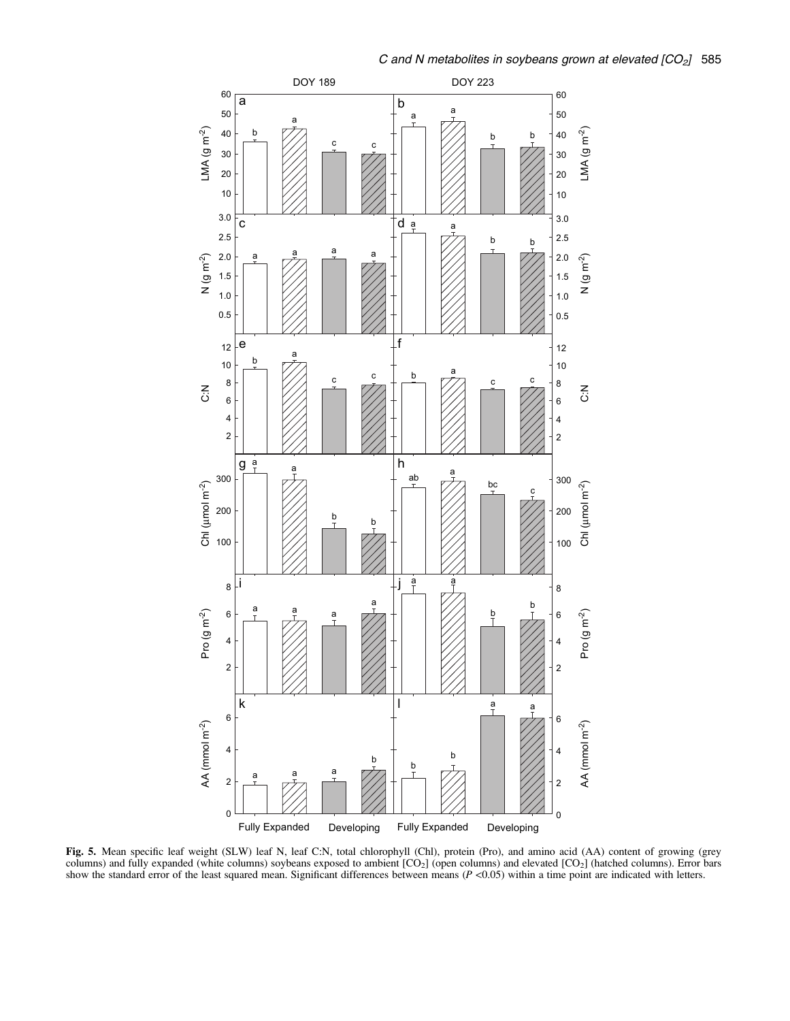

Fig. 5. Mean specific leaf weight (SLW) leaf N, leaf C:N, total chlorophyll (Chl), protein (Pro), and amino acid (AA) content of growing (grey columns) and fully expanded (white columns) soybeans exposed to ambient  $[CO<sub>2</sub>]$  (open columns) and elevated  $[CO<sub>2</sub>]$  (hatched columns). Error bars show the standard error of the least squared mean. Significant differences between means  $(P \lt 0.05)$  within a time point are indicated with letters.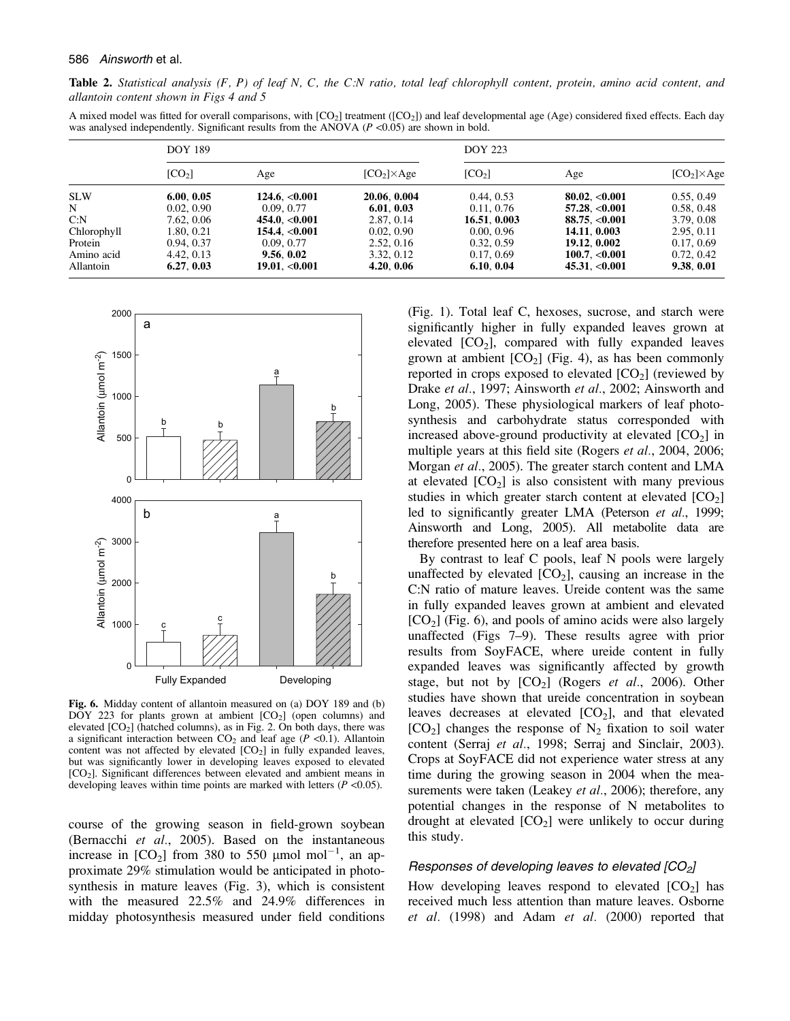Table 2. Statistical analysis  $(F, P)$  of leaf N, C, the C:N ratio, total leaf chlorophyll content, protein, amino acid content, and allantoin content shown in Figs 4 and 5

A mixed model was fitted for overall comparisons, with  $[CO_2]$  treatment  $([CO_2])$  and leaf developmental age (Age) considered fixed effects. Each day was analysed independently. Significant results from the ANOVA ( $P$  <0.05) are shown in bold.

|             | <b>DOY 189</b>     |                         |                    | <b>DOY 223</b>     |                         |                    |  |
|-------------|--------------------|-------------------------|--------------------|--------------------|-------------------------|--------------------|--|
|             | [CO <sub>2</sub> ] | Age                     | $[CO2] \times Age$ | [CO <sub>2</sub> ] | Age                     | $[CO2] \times Age$ |  |
| <b>SLW</b>  | 6.00, 0.05         | 124.6, <0.001           | 20.06, 0.004       | 0.44, 0.53         | 80.02. <sub>0.001</sub> | 0.55, 0.49         |  |
| N           | 0.02, 0.90         | 0.09, 0.77              | 6.01, 0.03         | 0.11, 0.76         | $57.28 \, < 0.001$      | 0.58, 0.48         |  |
| C: N        | 7.62, 0.06         | 454.0, <0.001           | 2.87, 0.14         | 16.51, 0.003       | 88.75. <sub>0.001</sub> | 3.79, 0.08         |  |
| Chlorophyll | 1.80, 0.21         | 154.4 < 0.001           | 0.02, 0.90         | 0.00, 0.96         | 14.11. 0.003            | 2.95, 0.11         |  |
| Protein     | 0.94, 0.37         | 0.09, 0.77              | 2.52, 0.16         | 0.32, 0.59         | 19.12, 0.002            | 0.17, 0.69         |  |
| Amino acid  | 4.42, 0.13         | 9.56, 0.02              | 3.32, 0.12         | 0.17, 0.69         | 100.7, <0.001           | 0.72, 0.42         |  |
| Allantoin   | 6.27, 0.03         | 19.01, <sub>0.001</sub> | 4.20, 0.06         | 6.10, 0.04         | 45.31, <0.001           | 9.38, 0.01         |  |



Fig. 6. Midday content of allantoin measured on (a) DOY 189 and (b)  $\overline{DOY}$  223 for plants grown at ambient  $[CO<sub>2</sub>]$  (open columns) and elevated  $[CO<sub>2</sub>]$  (hatched columns), as in Fig. 2. On both days, there was a significant interaction between  $CO<sub>2</sub>$  and leaf age ( $P < 0.1$ ). Allantoin content was not affected by elevated  $[CO<sub>2</sub>]$  in fully expanded leaves, but was significantly lower in developing leaves exposed to elevated [CO<sub>2</sub>]. Significant differences between elevated and ambient means in developing leaves within time points are marked with letters  $(P \le 0.05)$ .

course of the growing season in field-grown soybean (Bernacchi et al., 2005). Based on the instantaneous increase in  $[CO_2]$  from 380 to 550  $\mu$ mol mol<sup>-1</sup>, an approximate 29% stimulation would be anticipated in photosynthesis in mature leaves (Fig. 3), which is consistent with the measured 22.5% and 24.9% differences in midday photosynthesis measured under field conditions (Fig. 1). Total leaf C, hexoses, sucrose, and starch were significantly higher in fully expanded leaves grown at elevated  $[CO_2]$ , compared with fully expanded leaves grown at ambient  $[CO<sub>2</sub>]$  (Fig. 4), as has been commonly reported in crops exposed to elevated  $[CO<sub>2</sub>]$  (reviewed by Drake et al., 1997; Ainsworth et al., 2002; Ainsworth and Long, 2005). These physiological markers of leaf photosynthesis and carbohydrate status corresponded with increased above-ground productivity at elevated  $[CO<sub>2</sub>]$  in multiple years at this field site (Rogers et al., 2004, 2006; Morgan et al., 2005). The greater starch content and LMA at elevated  $[CO<sub>2</sub>]$  is also consistent with many previous studies in which greater starch content at elevated  $[CO<sub>2</sub>]$ led to significantly greater LMA (Peterson et al., 1999; Ainsworth and Long, 2005). All metabolite data are therefore presented here on a leaf area basis.

By contrast to leaf C pools, leaf N pools were largely unaffected by elevated  $[CO_2]$ , causing an increase in the C:N ratio of mature leaves. Ureide content was the same in fully expanded leaves grown at ambient and elevated  $[CO<sub>2</sub>]$  (Fig. 6), and pools of amino acids were also largely unaffected (Figs 7–9). These results agree with prior results from SoyFACE, where ureide content in fully expanded leaves was significantly affected by growth stage, but not by  $[CO_2]$  (Rogers *et al.*, 2006). Other studies have shown that ureide concentration in soybean leaves decreases at elevated  $[CO<sub>2</sub>]$ , and that elevated  $[CO<sub>2</sub>]$  changes the response of  $N<sub>2</sub>$  fixation to soil water content (Serraj et al., 1998; Serraj and Sinclair, 2003). Crops at SoyFACE did not experience water stress at any time during the growing season in 2004 when the measurements were taken (Leakey et al., 2006); therefore, any potential changes in the response of N metabolites to drought at elevated  $[CO<sub>2</sub>]$  were unlikely to occur during this study.

## Responses of developing leaves to elevated  $[CO<sub>2</sub>]$

How developing leaves respond to elevated  $[CO<sub>2</sub>]$  has received much less attention than mature leaves. Osborne et al. (1998) and Adam et al. (2000) reported that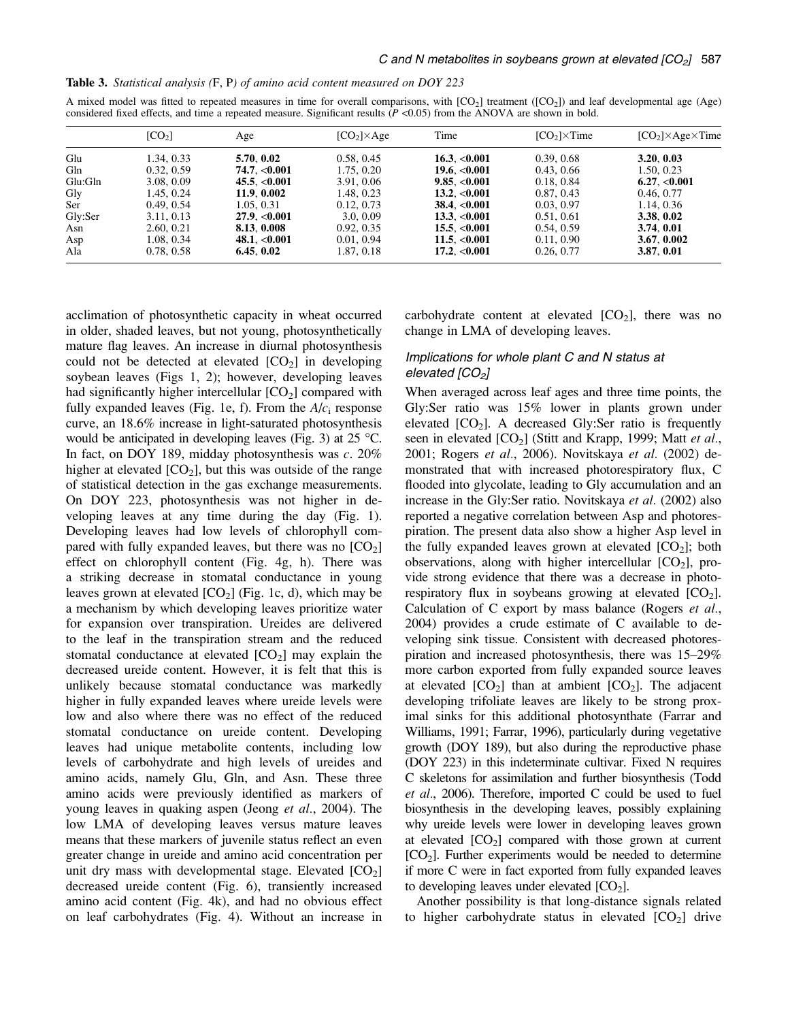|  | Table 3. Statistical analysis (F, P) of amino acid content measured on DOY 223 |  |  |  |  |  |  |
|--|--------------------------------------------------------------------------------|--|--|--|--|--|--|
|--|--------------------------------------------------------------------------------|--|--|--|--|--|--|

A mixed model was fitted to repeated measures in time for overall comparisons, with  $[CO_2]$  treatment  $([CO_2])$  and leaf developmental age (Age) considered fixed effects, and time a repeated measure. Significant results  $(P \le 0.05)$  from the ANOVA are shown in bold.

|         | [CO <sub>2</sub> ] | Age          | $[CO2] \times Age$ | Time               | $[CO2] \times Time$ | $[CO2] \times Age \times Time$ |
|---------|--------------------|--------------|--------------------|--------------------|---------------------|--------------------------------|
| Glu     | 1.34, 0.33         | 5.70, 0.02   | 0.58, 0.45         | 16.3, <0.001       | 0.39, 0.68          | 3.20, 0.03                     |
| Gln     | 0.32, 0.59         | 74.7, <0.001 | 1.75, 0.20         | 19.6. $< 0.001$    | 0.43, 0.66          | 1.50, 0.23                     |
| Glu:Gln | 3.08, 0.09         | 45.5, <0.001 | 3.91, 0.06         | 9.85, <0.001       | 0.18, 0.84          | 6.27, <0.001                   |
| Gly     | 1.45, 0.24         | 11.9.0.002   | 1.48, 0.23         | 13.2. < 0.001      | 0.87, 0.43          | 0.46, 0.77                     |
| Ser     | 0.49, 0.54         | 1.05, 0.31   | 0.12, 0.73         | $38.4 \cdot 0.001$ | 0.03, 0.97          | 1.14, 0.36                     |
| Gly:Ser | 3.11, 0.13         | 27.9< 0.001  | 3.0, 0.09          | $13.3 \, < 0.001$  | 0.51, 0.61          | 3.38, 0.02                     |
| Asn     | 2.60, 0.21         | 8.13. 0.008  | 0.92, 0.35         | 15.5, <0.001       | 0.54, 0.59          | 3.74.0.01                      |
| Asp     | 1.08, 0.34         | 48.1, <0.001 | 0.01, 0.94         | 11.5. < 0.001      | 0.11, 0.90          | 3.67, 0.002                    |
| Ala     | 0.78, 0.58         | 6.45, 0.02   | 1.87, 0.18         | 17.2, <0.001       | 0.26, 0.77          | 3.87, 0.01                     |

acclimation of photosynthetic capacity in wheat occurred in older, shaded leaves, but not young, photosynthetically mature flag leaves. An increase in diurnal photosynthesis could not be detected at elevated  $[CO<sub>2</sub>]$  in developing soybean leaves (Figs 1, 2); however, developing leaves had significantly higher intercellular  $[CO<sub>2</sub>]$  compared with fully expanded leaves (Fig. 1e, f). From the  $A/c<sub>i</sub>$  response curve, an 18.6% increase in light-saturated photosynthesis would be anticipated in developing leaves (Fig. 3) at  $25^{\circ}$ C. In fact, on DOY 189, midday photosynthesis was c. 20% higher at elevated  $[CO_2]$ , but this was outside of the range of statistical detection in the gas exchange measurements. On DOY 223, photosynthesis was not higher in developing leaves at any time during the day (Fig. 1). Developing leaves had low levels of chlorophyll compared with fully expanded leaves, but there was no  $[CO<sub>2</sub>]$ effect on chlorophyll content (Fig. 4g, h). There was a striking decrease in stomatal conductance in young leaves grown at elevated  $[CO<sub>2</sub>]$  (Fig. 1c, d), which may be a mechanism by which developing leaves prioritize water for expansion over transpiration. Ureides are delivered to the leaf in the transpiration stream and the reduced stomatal conductance at elevated  $[CO<sub>2</sub>]$  may explain the decreased ureide content. However, it is felt that this is unlikely because stomatal conductance was markedly higher in fully expanded leaves where ureide levels were low and also where there was no effect of the reduced stomatal conductance on ureide content. Developing leaves had unique metabolite contents, including low levels of carbohydrate and high levels of ureides and amino acids, namely Glu, Gln, and Asn. These three amino acids were previously identified as markers of young leaves in quaking aspen (Jeong et al., 2004). The low LMA of developing leaves versus mature leaves means that these markers of juvenile status reflect an even greater change in ureide and amino acid concentration per unit dry mass with developmental stage. Elevated  $[CO<sub>2</sub>]$ decreased ureide content (Fig. 6), transiently increased amino acid content (Fig. 4k), and had no obvious effect on leaf carbohydrates (Fig. 4). Without an increase in carbohydrate content at elevated  $[CO<sub>2</sub>]$ , there was no change in LMA of developing leaves.

# Implications for whole plant C and N status at elevated  $[CO<sub>2</sub>]$

When averaged across leaf ages and three time points, the Gly:Ser ratio was 15% lower in plants grown under elevated  $[CO<sub>2</sub>]$ . A decreased Gly:Ser ratio is frequently seen in elevated  $[CO_2]$  (Stitt and Krapp, 1999; Matt *et al.*, 2001; Rogers et al., 2006). Novitskaya et al. (2002) demonstrated that with increased photorespiratory flux, C flooded into glycolate, leading to Gly accumulation and an increase in the Gly:Ser ratio. Novitskaya et al. (2002) also reported a negative correlation between Asp and photorespiration. The present data also show a higher Asp level in the fully expanded leaves grown at elevated  $[CO<sub>2</sub>]$ ; both observations, along with higher intercellular  $[CO<sub>2</sub>]$ , provide strong evidence that there was a decrease in photorespiratory flux in soybeans growing at elevated  $[CO<sub>2</sub>]$ . Calculation of C export by mass balance (Rogers *et al.*, 2004) provides a crude estimate of C available to developing sink tissue. Consistent with decreased photorespiration and increased photosynthesis, there was 15–29% more carbon exported from fully expanded source leaves at elevated  $[CO_2]$  than at ambient  $[CO_2]$ . The adjacent developing trifoliate leaves are likely to be strong proximal sinks for this additional photosynthate (Farrar and Williams, 1991; Farrar, 1996), particularly during vegetative growth (DOY 189), but also during the reproductive phase (DOY 223) in this indeterminate cultivar. Fixed N requires C skeletons for assimilation and further biosynthesis (Todd et al., 2006). Therefore, imported C could be used to fuel biosynthesis in the developing leaves, possibly explaining why ureide levels were lower in developing leaves grown at elevated  $[CO_2]$  compared with those grown at current  $[CO<sub>2</sub>]$ . Further experiments would be needed to determine if more C were in fact exported from fully expanded leaves to developing leaves under elevated  $[CO<sub>2</sub>]$ .

Another possibility is that long-distance signals related to higher carbohydrate status in elevated  $[CO<sub>2</sub>]$  drive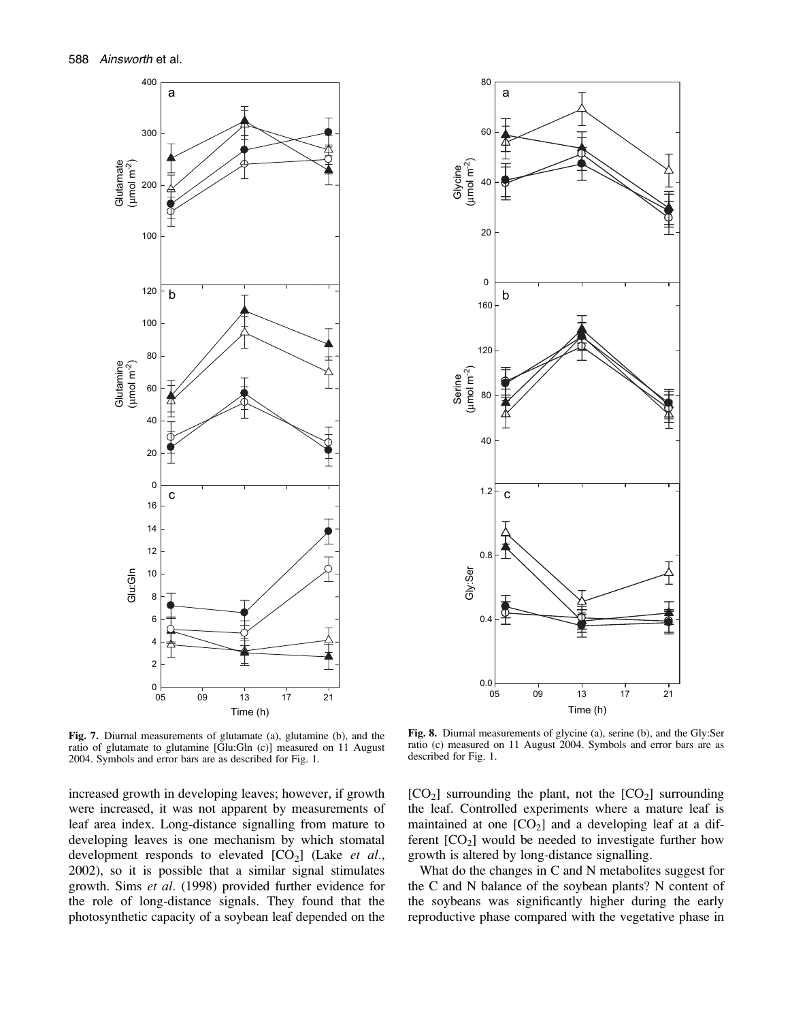



Fig. 7. Diurnal measurements of glutamate (a), glutamine (b), and the ratio of glutamate to glutamine [Glu:Gln (c)] measured on 11 August 2004. Symbols and error bars are as described for Fig. 1.

increased growth in developing leaves; however, if growth were increased, it was not apparent by measurements of leaf area index. Long-distance signalling from mature to developing leaves is one mechanism by which stomatal development responds to elevated  $[CO_2]$  (Lake et al., 2002), so it is possible that a similar signal stimulates growth. Sims et al. (1998) provided further evidence for the role of long-distance signals. They found that the photosynthetic capacity of a soybean leaf depended on the

Fig. 8. Diurnal measurements of glycine (a), serine (b), and the Gly:Ser ratio (c) measured on 11 August 2004. Symbols and error bars are as described for Fig. 1.

 $[CO<sub>2</sub>]$  surrounding the plant, not the  $[CO<sub>2</sub>]$  surrounding the leaf. Controlled experiments where a mature leaf is maintained at one  $[CO_2]$  and a developing leaf at a different  $[CO<sub>2</sub>]$  would be needed to investigate further how growth is altered by long-distance signalling.

What do the changes in C and N metabolites suggest for the C and N balance of the soybean plants? N content of the soybeans was significantly higher during the early reproductive phase compared with the vegetative phase in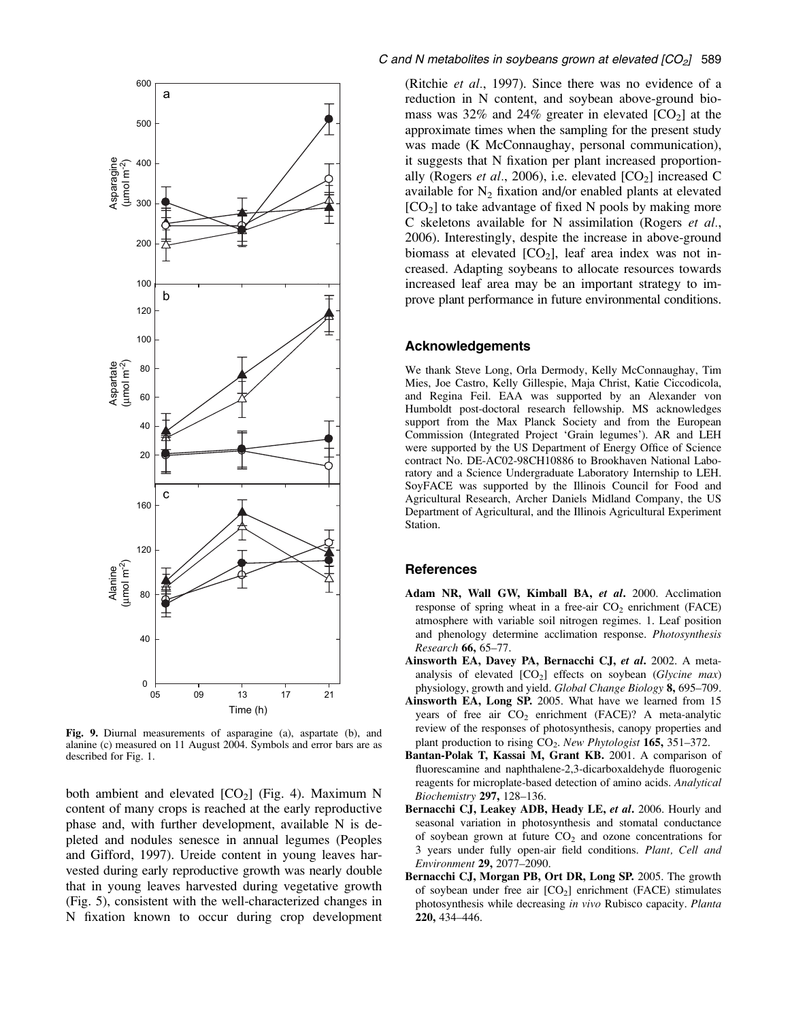

Fig. 9. Diurnal measurements of asparagine (a), aspartate (b), and alanine (c) measured on 11 August 2004. Symbols and error bars are as described for Fig. 1.

both ambient and elevated  $[CO_2]$  (Fig. 4). Maximum N content of many crops is reached at the early reproductive phase and, with further development, available N is depleted and nodules senesce in annual legumes (Peoples and Gifford, 1997). Ureide content in young leaves harvested during early reproductive growth was nearly double that in young leaves harvested during vegetative growth (Fig. 5), consistent with the well-characterized changes in N fixation known to occur during crop development (Ritchie et al., 1997). Since there was no evidence of a reduction in N content, and soybean above-ground biomass was 32% and 24% greater in elevated  $[CO<sub>2</sub>]$  at the approximate times when the sampling for the present study was made (K McConnaughay, personal communication), it suggests that N fixation per plant increased proportionally (Rogers *et al.*, 2006), i.e. elevated  $[CO_2]$  increased C available for  $N_2$  fixation and/or enabled plants at elevated  $[CO<sub>2</sub>]$  to take advantage of fixed N pools by making more C skeletons available for N assimilation (Rogers et al., 2006). Interestingly, despite the increase in above-ground biomass at elevated  $[CO_2]$ , leaf area index was not increased. Adapting soybeans to allocate resources towards increased leaf area may be an important strategy to improve plant performance in future environmental conditions.

# Acknowledgements

We thank Steve Long, Orla Dermody, Kelly McConnaughay, Tim Mies, Joe Castro, Kelly Gillespie, Maja Christ, Katie Ciccodicola, and Regina Feil. EAA was supported by an Alexander von Humboldt post-doctoral research fellowship. MS acknowledges support from the Max Planck Society and from the European Commission (Integrated Project 'Grain legumes'). AR and LEH were supported by the US Department of Energy Office of Science contract No. DE-AC02-98CH10886 to Brookhaven National Laboratory and a Science Undergraduate Laboratory Internship to LEH. SoyFACE was supported by the Illinois Council for Food and Agricultural Research, Archer Daniels Midland Company, the US Department of Agricultural, and the Illinois Agricultural Experiment Station.

# **References**

- Adam NR, Wall GW, Kimball BA, et al. 2000. Acclimation response of spring wheat in a free-air  $CO<sub>2</sub>$  enrichment (FACE) atmosphere with variable soil nitrogen regimes. 1. Leaf position and phenology determine acclimation response. Photosynthesis Research 66, 65–77.
- Ainsworth EA, Davey PA, Bernacchi CJ, et al. 2002. A metaanalysis of elevated  $[CO_2]$  effects on soybean (Glycine max) physiology, growth and yield. Global Change Biology 8, 695–709.
- Ainsworth EA, Long SP. 2005. What have we learned from 15 years of free air  $CO<sub>2</sub>$  enrichment (FACE)? A meta-analytic review of the responses of photosynthesis, canopy properties and plant production to rising  $CO<sub>2</sub>$ . New Phytologist 165, 351–372.
- Bantan-Polak T, Kassai M, Grant KB. 2001. A comparison of fluorescamine and naphthalene-2,3-dicarboxaldehyde fluorogenic reagents for microplate-based detection of amino acids. Analytical Biochemistry 297, 128-136.
- Bernacchi CJ, Leakey ADB, Heady LE, et al. 2006. Hourly and seasonal variation in photosynthesis and stomatal conductance of soybean grown at future  $CO<sub>2</sub>$  and ozone concentrations for 3 years under fully open-air field conditions. Plant, Cell and Environment 29, 2077–2090.
- Bernacchi CJ, Morgan PB, Ort DR, Long SP. 2005. The growth of soybean under free air  $[CO_2]$  enrichment (FACE) stimulates photosynthesis while decreasing in vivo Rubisco capacity. Planta 220, 434–446.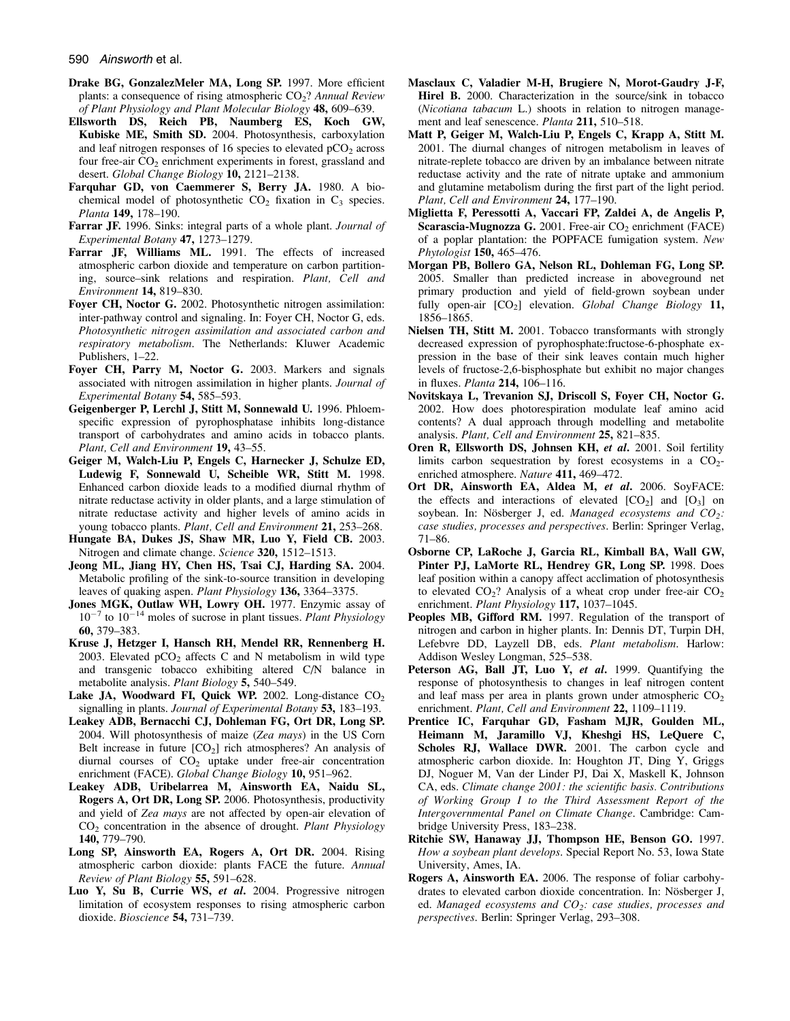#### 590 Ainsworth et al.

- Drake BG, GonzalezMeler MA, Long SP. 1997. More efficient plants: a consequence of rising atmospheric  $CO<sub>2</sub>$ ? Annual Review of Plant Physiology and Plant Molecular Biology 48, 609–639.
- Ellsworth DS, Reich PB, Naumberg ES, Koch GW, Kubiske ME, Smith SD. 2004. Photosynthesis, carboxylation and leaf nitrogen responses of 16 species to elevated  $pCO<sub>2</sub>$  across four free-air  $CO<sub>2</sub>$  enrichment experiments in forest, grassland and desert. Global Change Biology 10, 2121-2138.
- Farquhar GD, von Caemmerer S, Berry JA. 1980. A biochemical model of photosynthetic  $CO<sub>2</sub>$  fixation in  $C<sub>3</sub>$  species. Planta 149, 178–190.
- Farrar JF. 1996. Sinks: integral parts of a whole plant. Journal of Experimental Botany 47, 1273–1279.
- Farrar JF, Williams ML. 1991. The effects of increased atmospheric carbon dioxide and temperature on carbon partitioning, source–sink relations and respiration. Plant, Cell and Environment 14, 819–830.
- Foyer CH, Noctor G. 2002. Photosynthetic nitrogen assimilation: inter-pathway control and signaling. In: Foyer CH, Noctor G, eds. Photosynthetic nitrogen assimilation and associated carbon and respiratory metabolism. The Netherlands: Kluwer Academic Publishers, 1–22.
- Foyer CH, Parry M, Noctor G. 2003. Markers and signals associated with nitrogen assimilation in higher plants. Journal of Experimental Botany 54, 585–593.
- Geigenberger P, Lerchl J, Stitt M, Sonnewald U. 1996. Phloemspecific expression of pyrophosphatase inhibits long-distance transport of carbohydrates and amino acids in tobacco plants. Plant, Cell and Environment 19, 43–55.
- Geiger M, Walch-Liu P, Engels C, Harnecker J, Schulze ED, Ludewig F, Sonnewald U, Scheible WR, Stitt M. 1998. Enhanced carbon dioxide leads to a modified diurnal rhythm of nitrate reductase activity in older plants, and a large stimulation of nitrate reductase activity and higher levels of amino acids in young tobacco plants. Plant, Cell and Environment 21, 253-268.
- Hungate BA, Dukes JS, Shaw MR, Luo Y, Field CB. 2003. Nitrogen and climate change. Science 320, 1512–1513.
- Jeong ML, Jiang HY, Chen HS, Tsai CJ, Harding SA. 2004. Metabolic profiling of the sink-to-source transition in developing leaves of quaking aspen. Plant Physiology 136, 3364–3375.
- Jones MGK, Outlaw WH, Lowry OH. 1977. Enzymic assay of  $10^{-7}$  to  $10^{-14}$  moles of sucrose in plant tissues. *Plant Physiology* 60, 379–383.
- Kruse J, Hetzger I, Hansch RH, Mendel RR, Rennenberg H. 2003. Elevated  $pCO<sub>2</sub>$  affects C and N metabolism in wild type and transgenic tobacco exhibiting altered C/N balance in metabolite analysis. Plant Biology 5, 540–549.
- Lake JA, Woodward FI, Quick WP. 2002. Long-distance  $CO<sub>2</sub>$ signalling in plants. Journal of Experimental Botany 53, 183–193.
- Leakey ADB, Bernacchi CJ, Dohleman FG, Ort DR, Long SP. 2004. Will photosynthesis of maize (Zea mays) in the US Corn Belt increase in future  $[CO_2]$  rich atmospheres? An analysis of diurnal courses of  $CO<sub>2</sub>$  uptake under free-air concentration enrichment (FACE). Global Change Biology 10, 951-962.
- Leakey ADB, Uribelarrea M, Ainsworth EA, Naidu SL, Rogers A, Ort DR, Long SP. 2006. Photosynthesis, productivity and yield of Zea mays are not affected by open-air elevation of  $CO<sub>2</sub>$  concentration in the absence of drought. Plant Physiology 140, 779–790.
- Long SP, Ainsworth EA, Rogers A, Ort DR. 2004. Rising atmospheric carbon dioxide: plants FACE the future. Annual Review of Plant Biology 55, 591–628.
- Luo Y, Su B, Currie WS, et al. 2004. Progressive nitrogen limitation of ecosystem responses to rising atmospheric carbon dioxide. Bioscience 54, 731–739.
- Masclaux C, Valadier M-H, Brugiere N, Morot-Gaudry J-F, Hirel B. 2000. Characterization in the source/sink in tobacco (Nicotiana tabacum L.) shoots in relation to nitrogen management and leaf senescence. Planta 211, 510-518.
- Matt P, Geiger M, Walch-Liu P, Engels C, Krapp A, Stitt M. 2001. The diurnal changes of nitrogen metabolism in leaves of nitrate-replete tobacco are driven by an imbalance between nitrate reductase activity and the rate of nitrate uptake and ammonium and glutamine metabolism during the first part of the light period. Plant, Cell and Environment 24, 177-190.
- Miglietta F, Peressotti A, Vaccari FP, Zaldei A, de Angelis P, Scarascia-Mugnozza G. 2001. Free-air  $CO<sub>2</sub>$  enrichment (FACE) of a poplar plantation: the POPFACE fumigation system. New Phytologist 150, 465–476.
- Morgan PB, Bollero GA, Nelson RL, Dohleman FG, Long SP. 2005. Smaller than predicted increase in aboveground net primary production and yield of field-grown soybean under fully open-air  $[CO_2]$  elevation. Global Change Biology 11, 1856–1865.
- Nielsen TH, Stitt M. 2001. Tobacco transformants with strongly decreased expression of pyrophosphate:fructose-6-phosphate expression in the base of their sink leaves contain much higher levels of fructose-2,6-bisphosphate but exhibit no major changes in fluxes. Planta 214, 106–116.
- Novitskaya L, Trevanion SJ, Driscoll S, Foyer CH, Noctor G. 2002. How does photorespiration modulate leaf amino acid contents? A dual approach through modelling and metabolite analysis. Plant, Cell and Environment 25, 821–835.
- Oren R, Ellsworth DS, Johnsen KH, et al. 2001. Soil fertility limits carbon sequestration by forest ecosystems in a  $CO<sub>2</sub>$ enriched atmosphere. Nature 411, 469-472.
- Ort DR, Ainsworth EA, Aldea M, et al. 2006. SoyFACE: the effects and interactions of elevated  $[CO<sub>2</sub>]$  and  $[O<sub>3</sub>]$  on soybean. In: Nösberger J, ed. Managed ecosystems and  $CO_2$ : case studies, processes and perspectives. Berlin: Springer Verlag, 71–86.
- Osborne CP, LaRoche J, Garcia RL, Kimball BA, Wall GW, Pinter PJ, LaMorte RL, Hendrey GR, Long SP. 1998. Does leaf position within a canopy affect acclimation of photosynthesis to elevated  $CO<sub>2</sub>$ ? Analysis of a wheat crop under free-air  $CO<sub>2</sub>$ enrichment. Plant Physiology 117, 1037-1045.
- Peoples MB, Gifford RM. 1997. Regulation of the transport of nitrogen and carbon in higher plants. In: Dennis DT, Turpin DH, Lefebvre DD, Layzell DB, eds. Plant metabolism. Harlow: Addison Wesley Longman, 525–538.
- Peterson AG, Ball JT, Luo Y, et al. 1999. Quantifying the response of photosynthesis to changes in leaf nitrogen content and leaf mass per area in plants grown under atmospheric  $CO<sub>2</sub>$ enrichment. Plant, Cell and Environment 22, 1109-1119.
- Prentice IC, Farquhar GD, Fasham MJR, Goulden ML, Heimann M, Jaramillo VJ, Kheshgi HS, LeQuere C, Scholes RJ, Wallace DWR. 2001. The carbon cycle and atmospheric carbon dioxide. In: Houghton JT, Ding Y, Griggs DJ, Noguer M, Van der Linder PJ, Dai X, Maskell K, Johnson CA, eds. Climate change 2001: the scientific basis. Contributions of Working Group I to the Third Assessment Report of the Intergovernmental Panel on Climate Change. Cambridge: Cambridge University Press, 183–238.
- Ritchie SW, Hanaway JJ, Thompson HE, Benson GO. 1997. How a soybean plant develops. Special Report No. 53, Iowa State University, Ames, IA.
- Rogers A, Ainsworth EA. 2006. The response of foliar carbohydrates to elevated carbon dioxide concentration. In: Nösberger J, ed. Managed ecosystems and  $CO<sub>2</sub>$ : case studies, processes and perspectives. Berlin: Springer Verlag, 293–308.